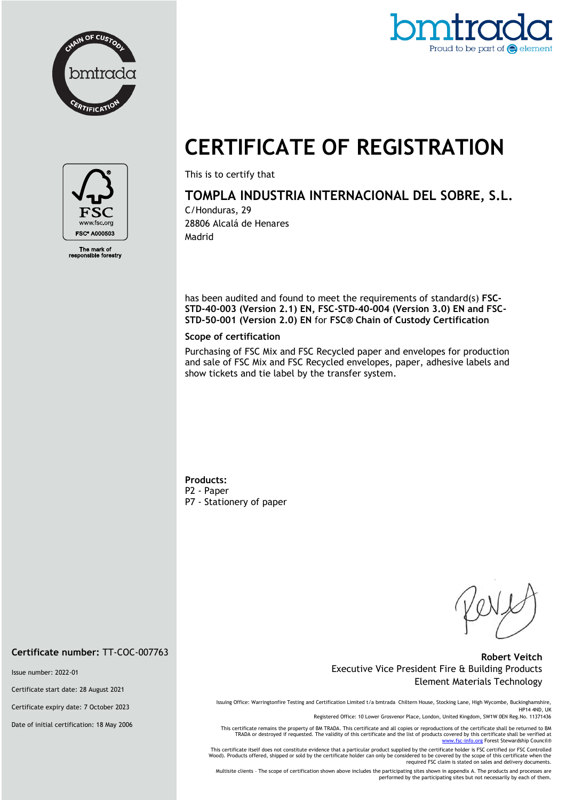



# **CERTIFICATE OF REGISTRATION**



The mark of<br>ponsible fore

This is to certify that

## **TOMPLA INDUSTRIA INTERNACIONAL DEL SOBRE, S.L.**

C/Honduras, 29 28806 Alcalá de Henares Madrid

has been audited and found to meet the requirements of standard(s) **FSC-STD-40-003 (Version 2.1) EN, FSC-STD-40-004 (Version 3.0) EN and FSC-STD-50-001 (Version 2.0) EN** for **FSC® Chain of Custody Certification**

#### **Scope of certification**

Purchasing of FSC Mix and FSC Recycled paper and envelopes for production and sale of FSC Mix and FSC Recycled envelopes, paper, adhesive labels and show tickets and tie label by the transfer system.

**Products:** P2 - Paper P7 - Stationery of paper

#### **Robert Veitch** Executive Vice President Fire & Building Products Element Materials Technology

Issuing Office: Warringtonfire Testing and Certification Limited t/a bmtrada Chiltern House, Stocking Lane, High Wycombe, Buckinghamshire, HP14 4ND, UK

Registered Office: 10 Lower Grosvenor Place, London, United Kingdom, SW1W 0EN Reg.No. 11371436

This certificate remains the property of BM TRADA. This certificate and all copies or reproductions of the certificate shall be returned to BM TRADA or destroyed if requested. The validity of this certificate and the list of products covered by this certificate shall be verified at<br>[www.fsc-info.org](http://www.fsc-info.org/) Forest Stewardship Council®

This certificate itself does not constitute evidence that a particular product supplied by the certificate holder is FSC certified (or FSC Controlled Wood). Products offered, shipped or sold by the certificate holder can only be considered to be covered by the scope of this certificate when the required FSC claim is stated on sales and delivery documents.

Multisite clients – The scope of certification shown above includes the participating sites shown in appendix A. The products and processes are performed by the participating sites but not necessarily by each of them.

**Certificate number:** TT-COC-007763

Issue number: 2022-01

Certificate start date: 28 August 2021

Certificate expiry date: 7 October 2023

Date of initial certification: 18 May 2006